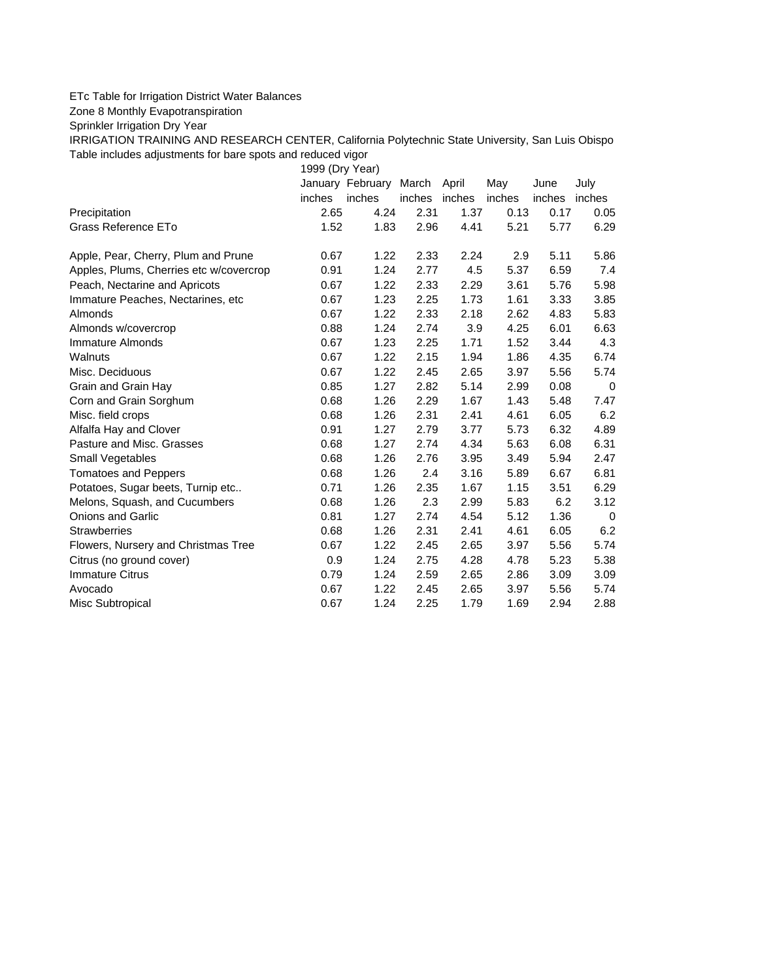## ETc Table for Irrigation District Water Balances

Zone 8 Monthly Evapotranspiration

Sprinkler Irrigation Dry Year

IRRIGATION TRAINING AND RESEARCH CENTER, California Polytechnic State University, San Luis Obispo Table includes adjustments for bare spots and reduced vigor

1999 (Dry Year)

|                                         |        | January February | March  | April  | May    | June   | July        |
|-----------------------------------------|--------|------------------|--------|--------|--------|--------|-------------|
|                                         | inches | inches           | inches | inches | inches | inches | inches      |
| Precipitation                           | 2.65   | 4.24             | 2.31   | 1.37   | 0.13   | 0.17   | 0.05        |
| Grass Reference ETo                     | 1.52   | 1.83             | 2.96   | 4.41   | 5.21   | 5.77   | 6.29        |
| Apple, Pear, Cherry, Plum and Prune     | 0.67   | 1.22             | 2.33   | 2.24   | 2.9    | 5.11   | 5.86        |
| Apples, Plums, Cherries etc w/covercrop | 0.91   | 1.24             | 2.77   | 4.5    | 5.37   | 6.59   | 7.4         |
| Peach, Nectarine and Apricots           | 0.67   | 1.22             | 2.33   | 2.29   | 3.61   | 5.76   | 5.98        |
| Immature Peaches, Nectarines, etc       | 0.67   | 1.23             | 2.25   | 1.73   | 1.61   | 3.33   | 3.85        |
| Almonds                                 | 0.67   | 1.22             | 2.33   | 2.18   | 2.62   | 4.83   | 5.83        |
| Almonds w/covercrop                     | 0.88   | 1.24             | 2.74   | 3.9    | 4.25   | 6.01   | 6.63        |
| Immature Almonds                        | 0.67   | 1.23             | 2.25   | 1.71   | 1.52   | 3.44   | 4.3         |
| Walnuts                                 | 0.67   | 1.22             | 2.15   | 1.94   | 1.86   | 4.35   | 6.74        |
| Misc. Deciduous                         | 0.67   | 1.22             | 2.45   | 2.65   | 3.97   | 5.56   | 5.74        |
| Grain and Grain Hay                     | 0.85   | 1.27             | 2.82   | 5.14   | 2.99   | 0.08   | $\mathbf 0$ |
| Corn and Grain Sorghum                  | 0.68   | 1.26             | 2.29   | 1.67   | 1.43   | 5.48   | 7.47        |
| Misc. field crops                       | 0.68   | 1.26             | 2.31   | 2.41   | 4.61   | 6.05   | 6.2         |
| Alfalfa Hay and Clover                  | 0.91   | 1.27             | 2.79   | 3.77   | 5.73   | 6.32   | 4.89        |
| Pasture and Misc. Grasses               | 0.68   | 1.27             | 2.74   | 4.34   | 5.63   | 6.08   | 6.31        |
| Small Vegetables                        | 0.68   | 1.26             | 2.76   | 3.95   | 3.49   | 5.94   | 2.47        |
| <b>Tomatoes and Peppers</b>             | 0.68   | 1.26             | 2.4    | 3.16   | 5.89   | 6.67   | 6.81        |
| Potatoes, Sugar beets, Turnip etc       | 0.71   | 1.26             | 2.35   | 1.67   | 1.15   | 3.51   | 6.29        |
| Melons, Squash, and Cucumbers           | 0.68   | 1.26             | 2.3    | 2.99   | 5.83   | 6.2    | 3.12        |
| <b>Onions and Garlic</b>                | 0.81   | 1.27             | 2.74   | 4.54   | 5.12   | 1.36   | 0           |
| <b>Strawberries</b>                     | 0.68   | 1.26             | 2.31   | 2.41   | 4.61   | 6.05   | 6.2         |
| Flowers, Nursery and Christmas Tree     | 0.67   | 1.22             | 2.45   | 2.65   | 3.97   | 5.56   | 5.74        |
| Citrus (no ground cover)                | 0.9    | 1.24             | 2.75   | 4.28   | 4.78   | 5.23   | 5.38        |
| <b>Immature Citrus</b>                  | 0.79   | 1.24             | 2.59   | 2.65   | 2.86   | 3.09   | 3.09        |
| Avocado                                 | 0.67   | 1.22             | 2.45   | 2.65   | 3.97   | 5.56   | 5.74        |
| Misc Subtropical                        | 0.67   | 1.24             | 2.25   | 1.79   | 1.69   | 2.94   | 2.88        |